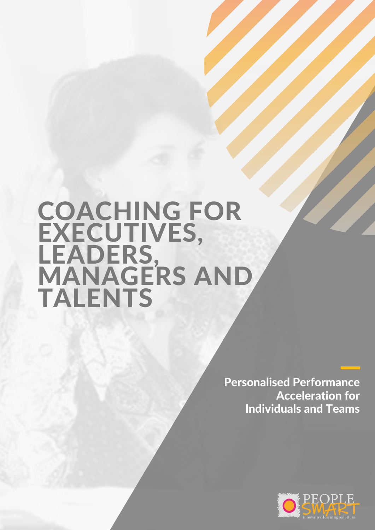# COACHING FOR EXECUTIVES, LEADERS,<br>MANAGERS AND TALENTS

Personalised Performance Acceleration for Individuals and Teams

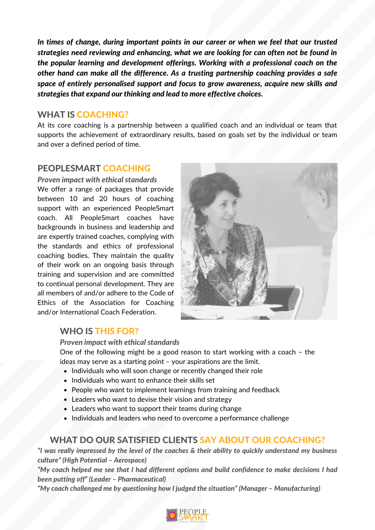*In times of change, during important points in our career or when we feel that our trusted strategies need reviewing and enhancing, what we are looking for can often not be found in the popular learning and development offerings. Working with a professional coach on the other hand can make all the difference. As a trusting partnership coaching provides a safe space of entirely personalised support and focus to grow awareness, acquire new skills and strategies that expand our thinking and lead to more effective choices.*

#### WHAT IS COACHING?

At its core coaching is a partnership between a qualified coach and an individual or team that supports the achievement of extraordinary results, based on goals set by the individual or team and over a defined period of time.

# PEOPLESMART COACHING

#### *Proven impact with ethical standards*

We offer a range of packages that provide between 10 and 20 hours of coaching support with an experienced PeopleSmart coach. All PeopleSmart coaches have backgrounds in business and leadership and are expertly trained coaches, complying with the standards and ethics of professional coaching bodies. They maintain the quality of their work on an ongoing basis through training and supervision and are committed to continual personal development. They are all members of and/or adhere to the Code of Ethics of the Association for Coaching and/or International Coach Federation.



### WHO IS THIS FOR?

*Proven impact with ethical standards*

One of the following might be a good reason to start working with a coach – the ideas may serve as a starting point – your aspirations are the limit.

- Individuals who will soon change or recently changed their role
- Individuals who want to enhance their skills set
- People who want to implement learnings from training and feedback
- Leaders who want to devise their vision and strategy
- Leaders who want to support their teams during change
- Individuals and leaders who need to overcome a performance challenge

### WHAT DO OUR SATISFIED CLIENTS SAY ABOUT OUR COACHING?

"I was really impressed by the level of the coaches & their ability to quickly understand my business *culture" (High Potential – Aerospace)*

*"My coach helped me see that I had different options and build confidence to make decisions I had been putting off" (Leader – Pharmaceutical)*

*"My coach challenged me by questioning how I judged the situation" (Manager – Manufacturing)*